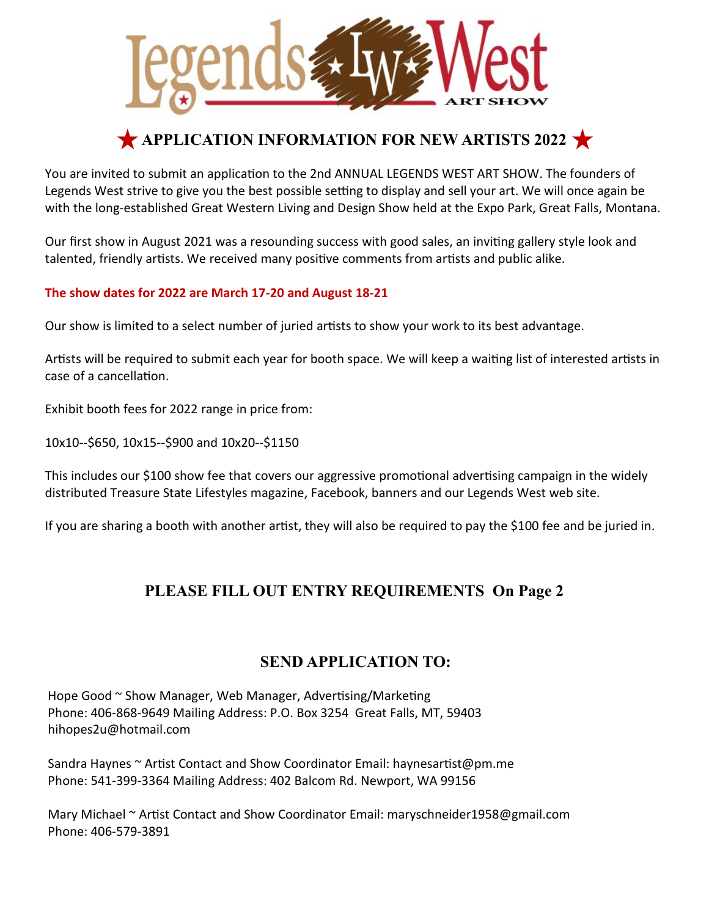

## **APPLICATION INFORMATION FOR NEW ARTISTS 2022**

You are invited to submit an application to the 2nd ANNUAL LEGENDS WEST ART SHOW. The founders of Legends West strive to give you the best possible setting to display and sell your art. We will once again be with the long-established Great Western Living and Design Show held at the Expo Park, Great Falls, Montana.

Our first show in August 2021 was a resounding success with good sales, an inviting gallery style look and talented, friendly artists. We received many positive comments from artists and public alike.

#### **The show dates for 2022 are March 17-20 and August 18-21**

Our show is limited to a select number of juried artsts to show your work to its best advantage.

Artists will be required to submit each year for booth space. We will keep a waiting list of interested artists in case of a cancellation.

Exhibit booth fees for 2022 range in price from:

10x10--\$650, 10x15--\$900 and 10x20--\$1150

This includes our \$100 show fee that covers our aggressive promotional advertising campaign in the widely distributed Treasure State Lifestyles magazine, Facebook, banners and our Legends West web site.

If you are sharing a booth with another artist, they will also be required to pay the \$100 fee and be juried in.

### **PLEASE FILL OUT ENTRY REQUIREMENTS On Page 2**

#### **SEND APPLICATION TO:**

Hope Good ~ Show Manager, Web Manager, Advertising/Marketing Phone: 406-868-9649 Mailing Address: P.O. Box 3254 Great Falls, MT, 59403 hihopes2u@hotmail.com

Sandra Haynes ~ Artist Contact and Show Coordinator Email: haynesartist@pm.me Phone: 541-399-3364 Mailing Address: 402 Balcom Rd. Newport, WA 99156

Mary Michael ~ Artist Contact and Show Coordinator Email: maryschneider1958@gmail.com Phone: 406-579-3891